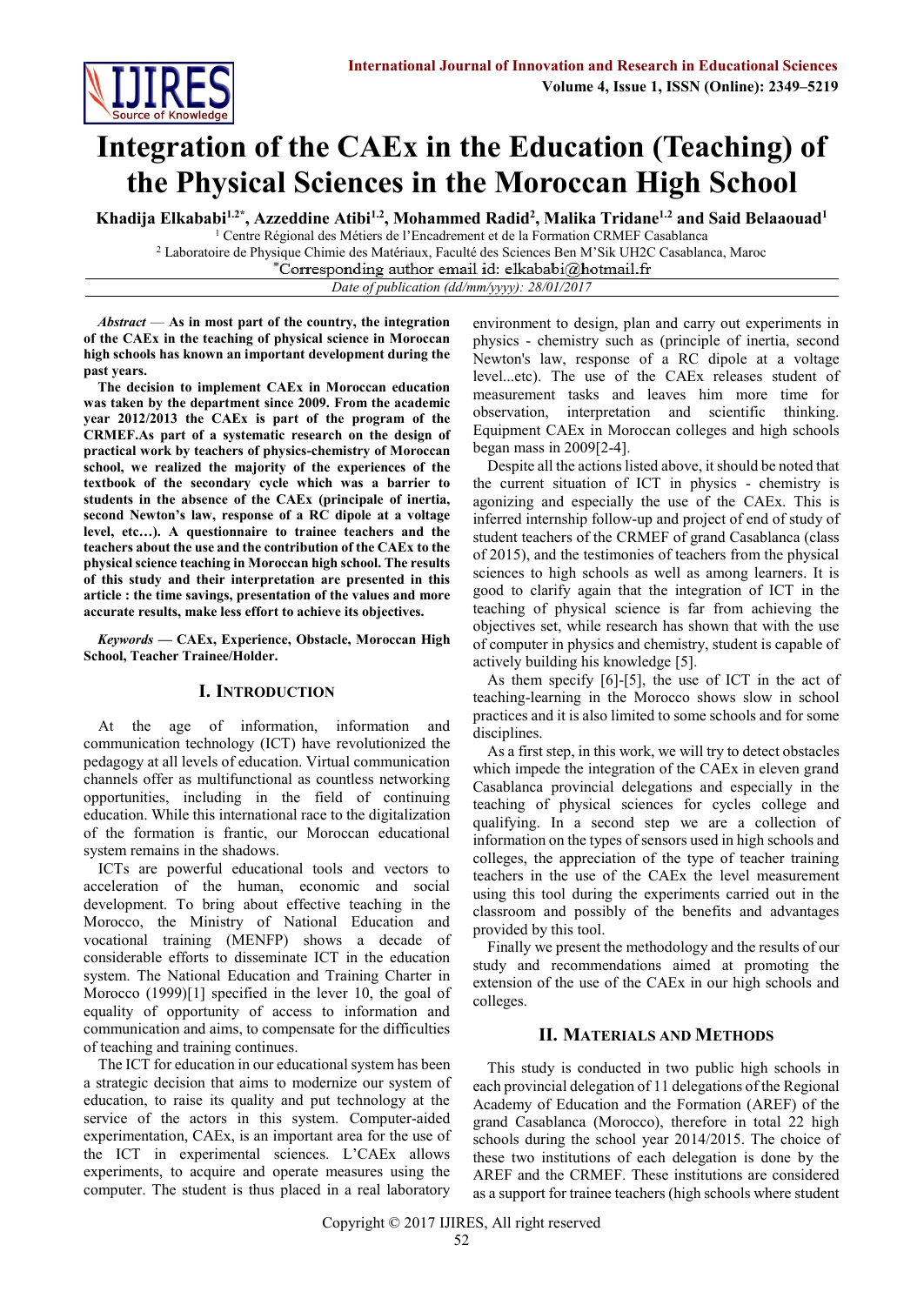

# **Integration of the CAEx in the Education (Teaching) of the Physical Sciences in the Moroccan High School**

**Khadija Elkababi1.2\* , Azzeddine Atibi1.2 , Mohammed Radid<sup>2</sup> , Malika Tridane1.2 and Said Belaaouad<sup>1</sup>**

 $1$  Centre Régional des Métiers de l'Encadrement et de la Formation CRMEF Casablanca <sup>2</sup> Laboratoire de Physique Chimie des Matériaux, Faculté des Sciences Ben M'Sik UH2C Casablanca, Maroc \*Corresponding author email id: elkababi@hotmail.fr

*Date of publication (dd/mm/yyyy): 28/01/2017*

*Abstract* — **As in most part of the country, the integration of the CAEx in the teaching of physical science in Moroccan high schools has known an important development during the past years.**

**The decision to implement CAEx in Moroccan education was taken by the department since 2009. From the academic year 2012/2013 the CAEx is part of the program of the CRMEF.As part of a systematic research on the design of practical work by teachers of physics-chemistry of Moroccan school, we realized the majority of the experiences of the textbook of the secondary cycle which was a barrier to students in the absence of the CAEx (principale of inertia, second Newton's law, response of a RC dipole at a voltage level, etc…). A questionnaire to trainee teachers and the teachers about the use and the contribution of the CAEx to the physical science teaching in Moroccan high school. The results of this study and their interpretation are presented in this article : the time savings, presentation of the values and more accurate results, make less effort to achieve its objectives.**

*Keywords* **— CAEx, Experience, Obstacle, Moroccan High School, Teacher Trainee/Holder.**

# **I. INTRODUCTION**

At the age of information, information and communication technology (ICT) have revolutionized the pedagogy at all levels of education. Virtual communication channels offer as multifunctional as countless networking opportunities, including in the field of continuing education. While this international race to the digitalization of the formation is frantic, our Moroccan educational system remains in the shadows.

ICTs are powerful educational tools and vectors to acceleration of the human, economic and social development. To bring about effective teaching in the Morocco, the Ministry of National Education and vocational training (MENFP) shows a decade of considerable efforts to disseminate ICT in the education system. The National Education and Training Charter in Morocco (1999)[1] specified in the lever 10, the goal of equality of opportunity of access to information and communication and aims, to compensate for the difficulties of teaching and training continues.

The ICT for education in our educational system has been a strategic decision that aims to modernize our system of education, to raise its quality and put technology at the service of the actors in this system. Computer-aided experimentation, CAEx, is an important area for the use of the ICT in experimental sciences. L'CAEx allows experiments, to acquire and operate measures using the computer. The student is thus placed in a real laboratory

environment to design, plan and carry out experiments in physics - chemistry such as (principle of inertia, second Newton's law, response of a RC dipole at a voltage level...etc). The use of the CAEx releases student of measurement tasks and leaves him more time for observation, interpretation and scientific thinking. Equipment CAEx in Moroccan colleges and high schools began mass in 2009[2-4].

Despite all the actions listed above, it should be noted that the current situation of ICT in physics - chemistry is agonizing and especially the use of the CAEx. This is inferred internship follow-up and project of end of study of student teachers of the CRMEF of grand Casablanca (class of 2015), and the testimonies of teachers from the physical sciences to high schools as well as among learners. It is good to clarify again that the integration of ICT in the teaching of physical science is far from achieving the objectives set, while research has shown that with the use of computer in physics and chemistry, student is capable of actively building his knowledge [5].

As them specify [6]-[5], the use of ICT in the act of teaching-learning in the Morocco shows slow in school practices and it is also limited to some schools and for some disciplines.

As a first step, in this work, we will try to detect obstacles which impede the integration of the CAEx in eleven grand Casablanca provincial delegations and especially in the teaching of physical sciences for cycles college and qualifying. In a second step we are a collection of information on the types of sensors used in high schools and colleges, the appreciation of the type of teacher training teachers in the use of the CAEx the level measurement using this tool during the experiments carried out in the classroom and possibly of the benefits and advantages provided by this tool.

Finally we present the methodology and the results of our study and recommendations aimed at promoting the extension of the use of the CAEx in our high schools and colleges.

# **II. MATERIALS AND METHODS**

This study is conducted in two public high schools in each provincial delegation of 11 delegations of the Regional Academy of Education and the Formation (AREF) of the grand Casablanca (Morocco), therefore in total 22 high schools during the school year 2014/2015. The choice of these two institutions of each delegation is done by the AREF and the CRMEF. These institutions are considered as a support for trainee teachers (high schools where student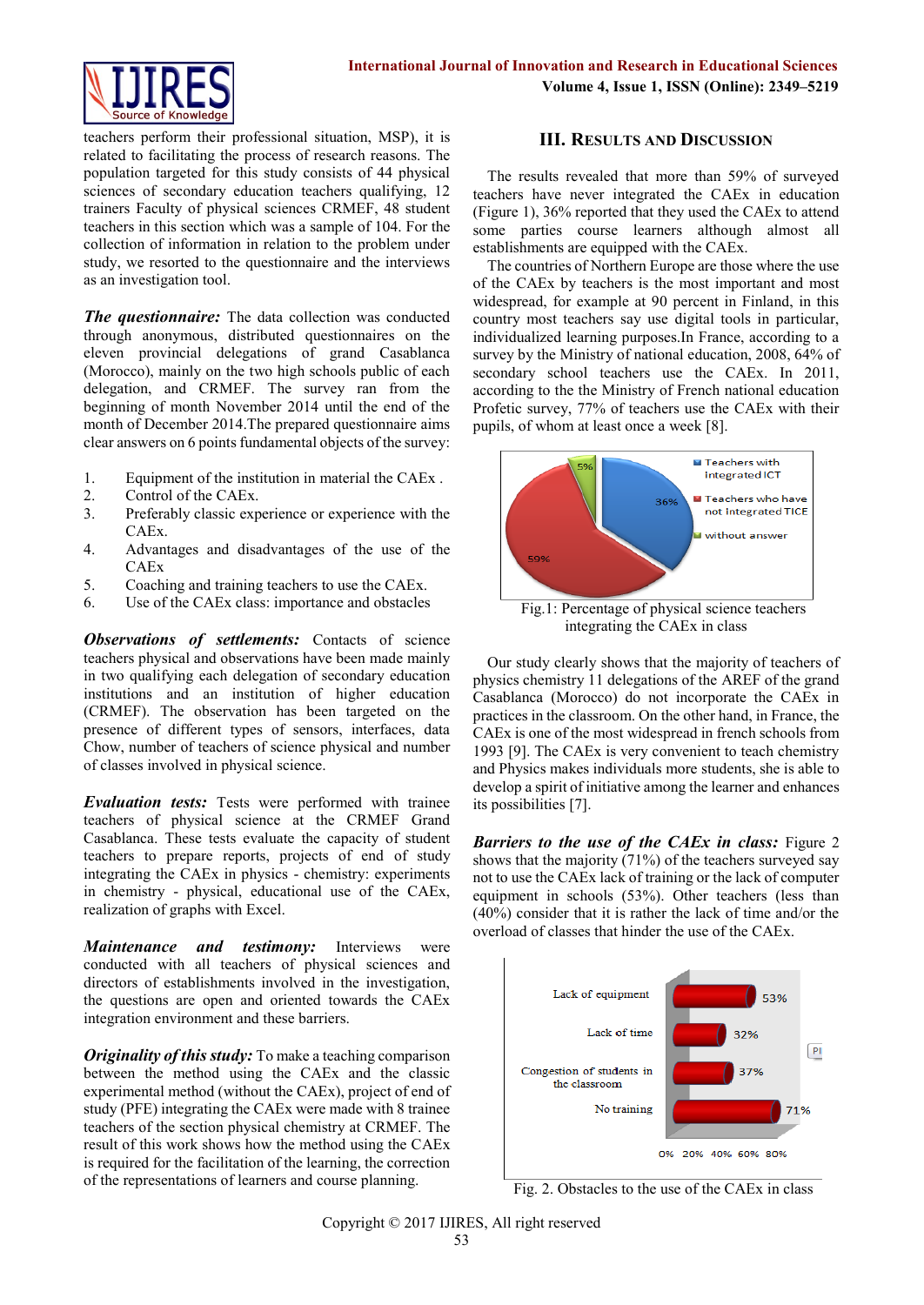

teachers perform their professional situation, MSP), it is related to facilitating the process of research reasons. The population targeted for this study consists of 44 physical sciences of secondary education teachers qualifying, 12 trainers Faculty of physical sciences CRMEF, 48 student teachers in this section which was a sample of 104. For the collection of information in relation to the problem under study, we resorted to the questionnaire and the interviews as an investigation tool.

*The questionnaire:* The data collection was conducted through anonymous, distributed questionnaires on the eleven provincial delegations of grand Casablanca (Morocco), mainly on the two high schools public of each delegation, and CRMEF. The survey ran from the beginning of month November 2014 until the end of the month of December 2014.The prepared questionnaire aims clear answers on 6 points fundamental objects of the survey:

- 1. Equipment of the institution in material the CAEx .
- 2. Control of the CAEx.
- 3. Preferably classic experience or experience with the CAEx.
- 4. Advantages and disadvantages of the use of the CAEx
- 5. Coaching and training teachers to use the CAEx.
- 6. Use of the CAEx class: importance and obstacles

**Observations of settlements:** Contacts of science teachers physical and observations have been made mainly in two qualifying each delegation of secondary education institutions and an institution of higher education (CRMEF). The observation has been targeted on the presence of different types of sensors, interfaces, data Chow, number of teachers of science physical and number of classes involved in physical science.

*Evaluation tests:* Tests were performed with trainee teachers of physical science at the CRMEF Grand Casablanca. These tests evaluate the capacity of student teachers to prepare reports, projects of end of study integrating the CAEx in physics - chemistry: experiments in chemistry - physical, educational use of the CAEx, realization of graphs with Excel.

*Maintenance and testimony:* Interviews were conducted with all teachers of physical sciences and directors of establishments involved in the investigation, the questions are open and oriented towards the CAEx integration environment and these barriers.

*Originality of this study:* To make a teaching comparison between the method using the CAEx and the classic experimental method (without the CAEx), project of end of study (PFE) integrating the CAEx were made with 8 trainee teachers of the section physical chemistry at CRMEF. The result of this work shows how the method using the CAEx is required for the facilitation of the learning, the correction of the representations of learners and course planning.

### **III. RESULTS AND DISCUSSION**

The results revealed that more than 59% of surveyed teachers have never integrated the CAEx in education (Figure 1), 36% reported that they used the CAEx to attend some parties course learners although almost all establishments are equipped with the CAEx.

The countries of Northern Europe are those where the use of the CAEx by teachers is the most important and most widespread, for example at 90 percent in Finland, in this country most teachers say use digital tools in particular, individualized learning purposes.In France, according to a survey by the Ministry of national education, 2008, 64% of secondary school teachers use the CAEx. In 2011, according to the the Ministry of French national education Profetic survey, 77% of teachers use the CAEx with their pupils, of whom at least once a week [8].



integrating the CAEx in class

Our study clearly shows that the majority of teachers of physics chemistry 11 delegations of the AREF of the grand Casablanca (Morocco) do not incorporate the CAEx in practices in the classroom. On the other hand, in France, the CAEx is one of the most widespread in french schools from 1993 [9]. The CAEx is very convenient to teach chemistry and Physics makes individuals more students, she is able to develop a spirit of initiative among the learner and enhances its possibilities [7].

*Barriers to the use of the CAEx in class: Figure 2* shows that the majority (71%) of the teachers surveyed say not to use the CAEx lack of training or the lack of computer equipment in schools (53%). Other teachers (less than (40%) consider that it is rather the lack of time and/or the overload of classes that hinder the use of the CAEx.



Fig. 2. Obstacles to the use of the CAEx in class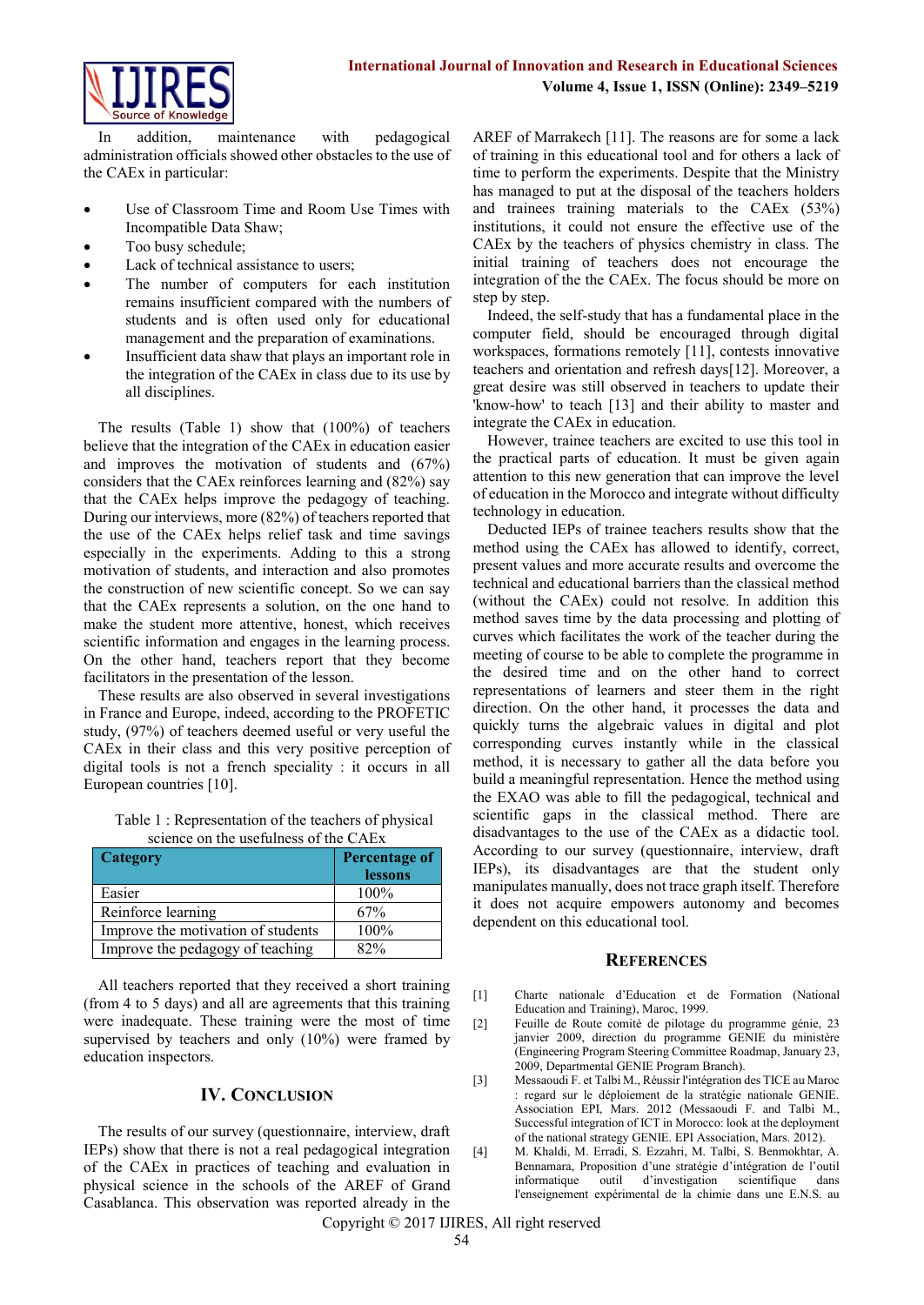

In addition, maintenance with pedagogical administration officials showed other obstacles to the use of the CAEx in particular:

- Use of Classroom Time and Room Use Times with Incompatible Data Shaw;
- Too busy schedule;
- Lack of technical assistance to users;
- The number of computers for each institution remains insufficient compared with the numbers of students and is often used only for educational management and the preparation of examinations.
- Insufficient data shaw that plays an important role in the integration of the CAEx in class due to its use by all disciplines.

The results (Table 1) show that (100%) of teachers believe that the integration of the CAEx in education easier and improves the motivation of students and (67%) considers that the CAEx reinforces learning and (82%) say that the CAEx helps improve the pedagogy of teaching. During our interviews, more (82%) of teachers reported that the use of the CAEx helps relief task and time savings especially in the experiments. Adding to this a strong motivation of students, and interaction and also promotes the construction of new scientific concept. So we can say that the CAEx represents a solution, on the one hand to make the student more attentive, honest, which receives scientific information and engages in the learning process. On the other hand, teachers report that they become facilitators in the presentation of the lesson.

These results are also observed in several investigations in France and Europe, indeed, according to the PROFETIC study, (97%) of teachers deemed useful or very useful the CAEx in their class and this very positive perception of digital tools is not a french speciality : it occurs in all European countries [10].

Table 1 : Representation of the teachers of physical science on the usefulness of the CAEx

| Category                           | Percentage of<br>lessons |
|------------------------------------|--------------------------|
| Easier                             | 100%                     |
| Reinforce learning                 | 67%                      |
| Improve the motivation of students | 100%                     |
| Improve the pedagogy of teaching   | 82%                      |

All teachers reported that they received a short training (from 4 to 5 days) and all are agreements that this training were inadequate. These training were the most of time supervised by teachers and only (10%) were framed by education inspectors.

# **IV. CONCLUSION**

The results of our survey (questionnaire, interview, draft IEPs) show that there is not a real pedagogical integration of the CAEx in practices of teaching and evaluation in physical science in the schools of the AREF of Grand Casablanca. This observation was reported already in the

AREF of Marrakech [11]. The reasons are for some a lack of training in this educational tool and for others a lack of time to perform the experiments. Despite that the Ministry has managed to put at the disposal of the teachers holders and trainees training materials to the CAEx (53%) institutions, it could not ensure the effective use of the CAEx by the teachers of physics chemistry in class. The initial training of teachers does not encourage the integration of the the CAEx. The focus should be more on step by step.

Indeed, the self-study that has a fundamental place in the computer field, should be encouraged through digital workspaces, formations remotely [11], contests innovative teachers and orientation and refresh days[12]. Moreover, a great desire was still observed in teachers to update their 'know-how' to teach [13] and their ability to master and integrate the CAEx in education.

However, trainee teachers are excited to use this tool in the practical parts of education. It must be given again attention to this new generation that can improve the level of education in the Morocco and integrate without difficulty technology in education.

Deducted IEPs of trainee teachers results show that the method using the CAEx has allowed to identify, correct, present values and more accurate results and overcome the technical and educational barriers than the classical method (without the CAEx) could not resolve. In addition this method saves time by the data processing and plotting of curves which facilitates the work of the teacher during the meeting of course to be able to complete the programme in the desired time and on the other hand to correct representations of learners and steer them in the right direction. On the other hand, it processes the data and quickly turns the algebraic values in digital and plot corresponding curves instantly while in the classical method, it is necessary to gather all the data before you build a meaningful representation. Hence the method using the EXAO was able to fill the pedagogical, technical and scientific gaps in the classical method. There are disadvantages to the use of the CAEx as a didactic tool. According to our survey (questionnaire, interview, draft IEPs), its disadvantages are that the student only manipulates manually, does not trace graph itself. Therefore it does not acquire empowers autonomy and becomes dependent on this educational tool.

#### **REFERENCES**

- [1] Charte nationale d'Education et de Formation (National Education and Training), Maroc, 1999.
- [2] Feuille de Route comité de pilotage du programme génie, 23 janvier 2009, direction du programme GENIE du ministère (Engineering Program Steering Committee Roadmap, January 23, 2009, Departmental GENIE Program Branch).
- [3] Messaoudi F. et Talbi M., Réussir l'intégration des TICE au Maroc : regard sur le déploiement de la stratégie nationale GENIE. Association EPI, Mars. 2012 (Messaoudi F. and Talbi M., Successful integration of ICT in Morocco: look at the deployment of the national strategy GENIE. EPI Association, Mars. 2012).
- [4] M. Khaldi, M. Erradi, S. Ezzahri, M. Talbi, S. Benmokhtar, A. Bennamara, Proposition d'une stratégie d'intégration de l'outil informatique outil d'investigation scientifique dans l'enseignement expérimental de la chimie dans une E.N.S. au